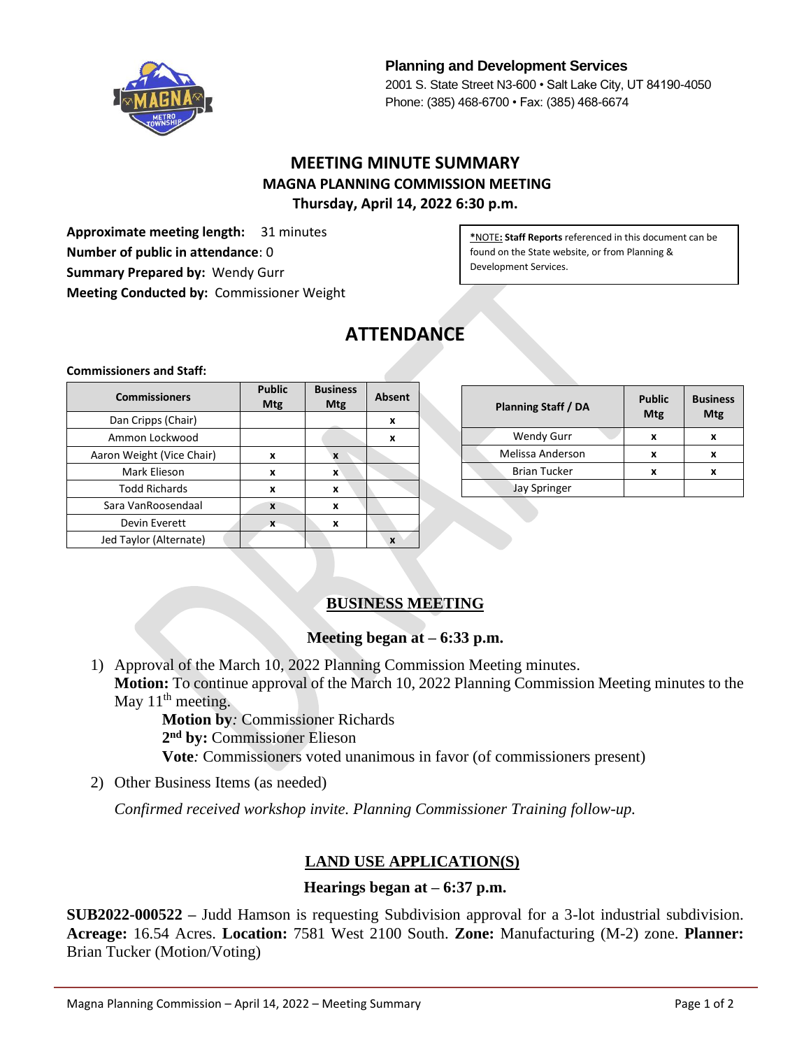

**Planning and Development Services** 2001 S. State Street N3-600 • Salt Lake City, UT 84190-4050 Phone: (385) 468-6700 • Fax: (385) 468-6674

# **MEETING MINUTE SUMMARY MAGNA PLANNING COMMISSION MEETING Thursday, April 14, 2022 6:30 p.m.**

**Approximate meeting length:** 31 minutes **Number of public in attendance**: 0 **Summary Prepared by:** Wendy Gurr **Meeting Conducted by:** Commissioner Weight

**\***NOTE**: Staff Reports** referenced in this document can be found on the State website, or from Planning & Development Services.

# **ATTENDANCE**

#### **Commissioners and Staff:**

| <b>Commissioners</b>      | <b>Public</b><br><b>Mtg</b> | <b>Business</b><br><b>Mtg</b> | <b>Absent</b> |
|---------------------------|-----------------------------|-------------------------------|---------------|
| Dan Cripps (Chair)        |                             |                               | x             |
| Ammon Lockwood            |                             |                               | x             |
| Aaron Weight (Vice Chair) | x                           | X                             |               |
| Mark Elieson              | x                           | x                             |               |
| <b>Todd Richards</b>      | x                           | x                             |               |
| Sara VanRoosendaal        | X                           | x                             |               |
| Devin Everett             | X                           | x                             |               |
| Jed Taylor (Alternate)    |                             |                               | X             |

| <b>Planning Staff / DA</b> | <b>Public</b><br><b>Mtg</b> | <b>Business</b><br>Mtg |
|----------------------------|-----------------------------|------------------------|
| <b>Wendy Gurr</b>          | x                           | x                      |
| Melissa Anderson           | x                           | x                      |
| <b>Brian Tucker</b>        |                             |                        |
| <b>Jay Springer</b>        |                             |                        |

### **BUSINESS MEETING**

### **Meeting began at – 6:33 p.m.**

1) Approval of the March 10, 2022 Planning Commission Meeting minutes. **Motion:** To continue approval of the March 10, 2022 Planning Commission Meeting minutes to the May  $11<sup>th</sup>$  meeting.

> **Motion by***:* Commissioner Richards **2 nd by:** Commissioner Elieson **Vote***:* Commissioners voted unanimous in favor (of commissioners present)

2) Other Business Items (as needed)

*Confirmed received workshop invite. Planning Commissioner Training follow-up.*

### **LAND USE APPLICATION(S)**

#### **Hearings began at – 6:37 p.m.**

**SUB2022-000522 –** Judd Hamson is requesting Subdivision approval for a 3-lot industrial subdivision. **Acreage:** 16.54 Acres. **Location:** 7581 West 2100 South. **Zone:** Manufacturing (M-2) zone. **Planner:** Brian Tucker (Motion/Voting)